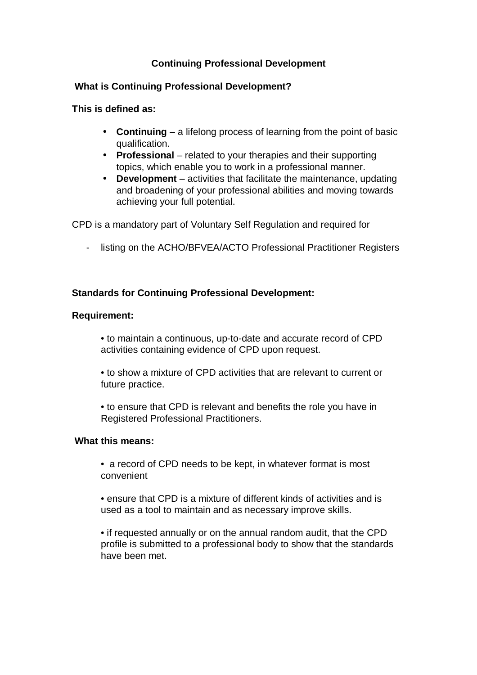# **Continuing Professional Development**

### **What is Continuing Professional Development?**

**This is defined as:**

- **Continuing** a lifelong process of learning from the point of basic qualification.
- **Professional** related to your therapies and their supporting topics, which enable you to work in a professional manner.
- **Development** activities that facilitate the maintenance, updating and broadening of your professional abilities and moving towards achieving your full potential.

CPD is a mandatory part of Voluntary Self Regulation and required for

- listing on the ACHO/BFVEA/ACTO Professional Practitioner Registers

### **Standards for Continuing Professional Development:**

#### **Requirement:**

- to maintain a continuous, up-to-date and accurate record of CPD activities containing evidence of CPD upon request.
- to show a mixture of CPD activities that are relevant to current or future practice.
- to ensure that CPD is relevant and benefits the role you have in Registered Professional Practitioners.

### **What this means:**

- a record of CPD needs to be kept, in whatever format is most convenient
- ensure that CPD is a mixture of different kinds of activities and is used as a tool to maintain and as necessary improve skills.
- if requested annually or on the annual random audit, that the CPD profile is submitted to a professional body to show that the standards have been met.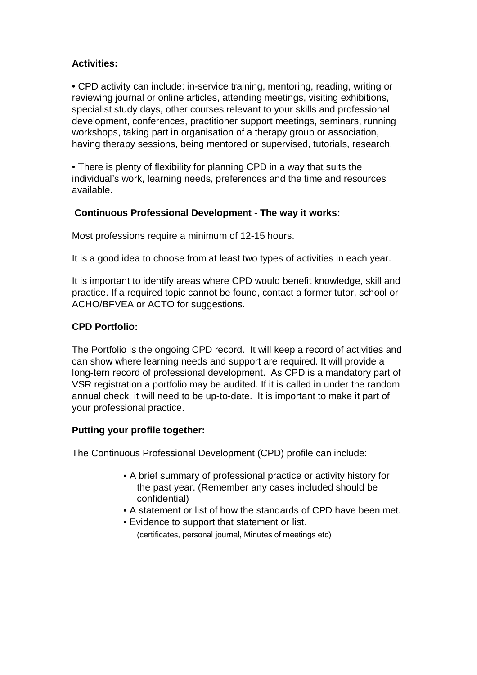# **Activities:**

• CPD activity can include: in-service training, mentoring, reading, writing or reviewing journal or online articles, attending meetings, visiting exhibitions, specialist study days, other courses relevant to your skills and professional development, conferences, practitioner support meetings, seminars, running workshops, taking part in organisation of a therapy group or association, having therapy sessions, being mentored or supervised, tutorials, research.

• There is plenty of flexibility for planning CPD in a way that suits the individual's work, learning needs, preferences and the time and resources available.

# **Continuous Professional Development - The way it works:**

Most professions require a minimum of 12-15 hours.

It is a good idea to choose from at least two types of activities in each year.

It is important to identify areas where CPD would benefit knowledge, skill and practice. If a required topic cannot be found, contact a former tutor, school or ACHO/BFVEA or ACTO for suggestions.

# **CPD Portfolio:**

The Portfolio is the ongoing CPD record. It will keep a record of activities and can show where learning needs and support are required. It will provide a long-tern record of professional development. As CPD is a mandatory part of VSR registration a portfolio may be audited. If it is called in under the random annual check, it will need to be up-to-date. It is important to make it part of your professional practice.

# **Putting your profile together:**

The Continuous Professional Development (CPD) profile can include:

- A brief summary of professional practice or activity history for the past year. (Remember any cases included should be confidential)
- A statement or list of how the standards of CPD have been met.
- Evidence to support that statement or list. (certificates, personal journal, Minutes of meetings etc)